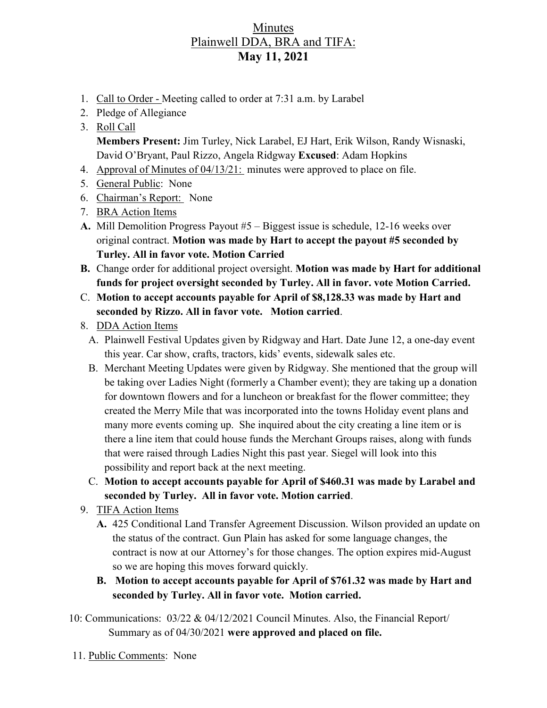## Minutes Plainwell DDA, BRA and TIFA: **May 11, 2021**

- 1. Call to Order Meeting called to order at 7:31 a.m. by Larabel
- 2. Pledge of Allegiance
- 3. Roll Call

**Members Present:** Jim Turley, Nick Larabel, EJ Hart, Erik Wilson, Randy Wisnaski, David O'Bryant, Paul Rizzo, Angela Ridgway **Excused**: Adam Hopkins

- 4. Approval of Minutes of 04/13/21: minutes were approved to place on file.
- 5. General Public: None
- 6. Chairman's Report: None
- 7. BRA Action Items
- **A.** Mill Demolition Progress Payout #5 Biggest issue is schedule, 12-16 weeks over original contract. **Motion was made by Hart to accept the payout #5 seconded by Turley. All in favor vote. Motion Carried**
- **B.** Change order for additional project oversight. **Motion was made by Hart for additional funds for project oversight seconded by Turley. All in favor. vote Motion Carried.**
- C. **Motion to accept accounts payable for April of \$8,128.33 was made by Hart and seconded by Rizzo. All in favor vote. Motion carried**.
- 8. DDA Action Items
	- A. Plainwell Festival Updates given by Ridgway and Hart. Date June 12, a one-day event this year. Car show, crafts, tractors, kids' events, sidewalk sales etc.
	- B. Merchant Meeting Updates were given by Ridgway. She mentioned that the group will be taking over Ladies Night (formerly a Chamber event); they are taking up a donation for downtown flowers and for a luncheon or breakfast for the flower committee; they created the Merry Mile that was incorporated into the towns Holiday event plans and many more events coming up. She inquired about the city creating a line item or is there a line item that could house funds the Merchant Groups raises, along with funds that were raised through Ladies Night this past year. Siegel will look into this possibility and report back at the next meeting.
	- C. **Motion to accept accounts payable for April of \$460.31 was made by Larabel and seconded by Turley. All in favor vote. Motion carried**.
- 9. TIFA Action Items
	- **A.** 425 Conditional Land Transfer Agreement Discussion. Wilson provided an update on the status of the contract. Gun Plain has asked for some language changes, the contract is now at our Attorney's for those changes. The option expires mid-August so we are hoping this moves forward quickly.
	- **B. Motion to accept accounts payable for April of \$761.32 was made by Hart and seconded by Turley. All in favor vote. Motion carried.**
- 10: Communications: 03/22 & 04/12/2021 Council Minutes. Also, the Financial Report/ Summary as of 04/30/2021 **were approved and placed on file.**
- 11. Public Comments: None